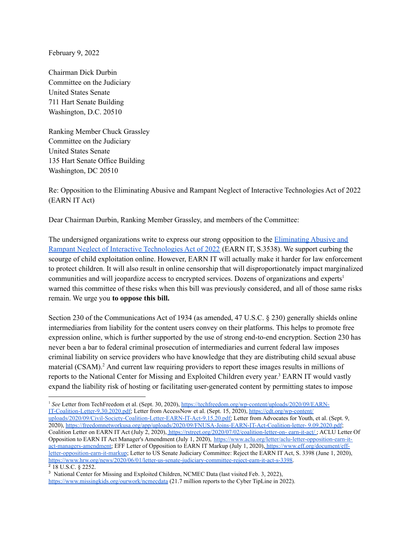February 9, 2022

Chairman Dick Durbin Committee on the Judiciary United States Senate 711 Hart Senate Building Washington, D.C. 20510

Ranking Member Chuck Grassley Committee on the Judiciary United States Senate 135 Hart Senate Office Building Washington, DC 20510

Re: Opposition to the Eliminating Abusive and Rampant Neglect of Interactive Technologies Act of 2022 (EARN IT Act)

Dear Chairman Durbin, Ranking Member Grassley, and members of the Committee:

The undersigned organizations write to express our strong opposition to the [Eliminating](https://www.congress.gov/117/bills/s3538/BILLS-117s3538is.pdf) Abusive and Rampant Neglect of Interactive [Technologies](https://www.congress.gov/117/bills/s3538/BILLS-117s3538is.pdf) Act of 2022 (EARN IT, S.3538). We support curbing the scourge of child exploitation online. However, EARN IT will actually make it harder for law enforcement to protect children. It will also result in online censorship that will disproportionately impact marginalized communities and will jeopardize access to encrypted services. Dozens of organizations and experts 1 warned this committee of these risks when this bill was previously considered, and all of those same risks remain. We urge you **to oppose this bill.**

Section 230 of the Communications Act of 1934 (as amended, 47 U.S.C. § 230) generally shields online intermediaries from liability for the content users convey on their platforms. This helps to promote free expression online, which is further supported by the use of strong end-to-end encryption. Section 230 has never been a bar to federal criminal prosecution of intermediaries and current federal law imposes criminal liability on service providers who have knowledge that they are distributing child sexual abuse material (CSAM). <sup>2</sup> And current law requiring providers to report these images results in millions of reports to the National Center for Missing and Exploited Children every year. <sup>3</sup> EARN IT would vastly expand the liability risk of hosting or facilitating user-generated content by permitting states to impose

 $2$  18 U.S.C. § 2252. <sup>1</sup> *See* Letter from TechFreedom et al. (Sept. 30, 2020), [https://techfreedom.org/wp-content/uploads/2020/09/EARN-](https://techfreedom.org/wp-content/uploads/2020/09/EARN-IT-Coalition-Letter-9.30.2020.pdf)[IT-Coalition-Letter-9.30.2020.pdf;](https://techfreedom.org/wp-content/uploads/2020/09/EARN-IT-Coalition-Letter-9.30.2020.pdf) Letter from AccessNow et al. (Sept. 15, 2020), [https://cdt.org/wp-content/](https://cdt.org/wp-content/uploads/2020/09/Civil-Society-Coalition-Letter-EARN-IT-Act-9.15.20.pdf) [uploads/2020/09/Civil-Society-Coalition-Letter-EARN-IT-Act-9.15.20.pdf;](https://cdt.org/wp-content/uploads/2020/09/Civil-Society-Coalition-Letter-EARN-IT-Act-9.15.20.pdf) Letter from Advocates for Youth, et al. (Sept. 9, 2020), [https://freedomnetworkusa.org/app/uploads/2020/09/FNUSA-Joins-EARN-IT-Act-Coalition-letter-](https://freedomnetworkusa.org/app/uploads/2020/09/FNUSA-Joins-EARN-IT-Act-Coalition-letter-9.09.2020.pdf) 9.09.2020.pdf; Coalition Letter on EARN IT Act (July 2, 2020), <https://rstreet.org/2020/07/02/coalition-letter-on-> earn-it-act/; ACLU Letter Of Opposition to EARN IT Act Manager's Amendment (July 1, 2020), [https://www.aclu.org/letter/aclu-letter-opposition-earn-it](https://www.aclu.org/letter/aclu-letter-opposition-earn-it-act-managers-amendment)[act-managers-amendment;](https://www.aclu.org/letter/aclu-letter-opposition-earn-it-act-managers-amendment) EFF Letter of Opposition to EARN IT Markup (July 1, 2020), [https://www.eff.org/document/eff](https://www.eff.org/document/eff-letter-opposition-earn-it-markup)[letter-opposition-earn-it-markup](https://www.eff.org/document/eff-letter-opposition-earn-it-markup); Letter to US Senate Judiciary Committee: Reject the EARN IT Act, S. 3398 (June 1, 2020), [https://www.hrw.org/news/2020/06/01/letter-us-senate-judiciary-committee-reject-earn-it-act-s-3398.](https://www.hrw.org/news/2020/06/01/letter-us-senate-judiciary-committee-reject-earn-it-act-s-3398)

<sup>3</sup> National Center for Missing and Exploited Children, NCMEC Data (last visited Feb. 3, 2022), <https://www.missingkids.org/ourwork/ncmecdata> (21.7 million reports to the Cyber TipLine in 2022).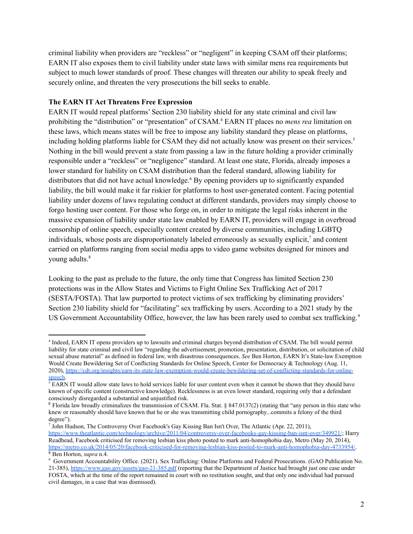criminal liability when providers are "reckless" or "negligent" in keeping CSAM off their platforms; EARN IT also exposes them to civil liability under state laws with similar mens rea requirements but subject to much lower standards of proof. These changes will threaten our ability to speak freely and securely online, and threaten the very prosecutions the bill seeks to enable.

# **The EARN IT Act Threatens Free Expression**

EARN IT would repeal platforms' Section 230 liability shield for any state criminal and civil law prohibiting the "distribution" or "presentation" of CSAM. <sup>4</sup> EARN IT places no *mens rea* limitation on these laws, which means states will be free to impose any liability standard they please on platforms, including holding platforms liable for CSAM they did not actually know was present on their services. 5 Nothing in the bill would prevent a state from passing a law in the future holding a provider criminally responsible under a "reckless" or "negligence" standard. At least one state, Florida, already imposes a lower standard for liability on CSAM distribution than the federal standard, allowing liability for distributors that did not have actual knowledge. <sup>6</sup> By opening providers up to significantly expanded liability, the bill would make it far riskier for platforms to host user-generated content. Facing potential liability under dozens of laws regulating conduct at different standards, providers may simply choose to forgo hosting user content. For those who forge on, in order to mitigate the legal risks inherent in the massive expansion of liability under state law enabled by EARN IT, providers will engage in overbroad censorship of online speech, especially content created by diverse communities, including LGBTQ individuals, whose posts are disproportionately labeled erroneously as sexually explicit, <sup>7</sup> and content carried on platforms ranging from social media apps to video game websites designed for minors and young adults. 8

Looking to the past as prelude to the future, the only time that Congress has limited Section 230 protections was in the Allow States and Victims to Fight Online Sex Trafficking Act of 2017 (SESTA/FOSTA). That law purported to protect victims of sex trafficking by eliminating providers' Section 230 liability shield for "facilitating" sex trafficking by users. According to a 2021 study by the US Government Accountability Office, however, the law has been rarely used to combat sex trafficking.<sup>9</sup>

<sup>7</sup> John Hudson, The Controversy Over Facebook's Gay Kissing Ban Isn't Over, The Atlantic (Apr. 22, 2011),

<sup>4</sup> Indeed, EARN IT opens providers up to lawsuits and criminal charges beyond distribution of CSAM. The bill would permit liability for state criminal and civil law "regarding the advertisement, promotion, presentation, distribution, or solicitation of child sexual abuse material" as defined in federal law, with disastrous consequences. *See* Ben Horton, EARN It's State-law Exemption Would Create Bewildering Set of Conflicting Standards for Online Speech, Center for Democracy & Technology (Aug. 11, 2020), [https://cdt.org/insights/earn-its-state-law-exemption-would-create-bewildering-set-of-conflicting-standards-for-online](https://cdt.org/insights/earn-its-state-law-exemption-would-create-bewildering-set-of-conflicting-standards-for-online-speech)[speech](https://cdt.org/insights/earn-its-state-law-exemption-would-create-bewildering-set-of-conflicting-standards-for-online-speech).

 $5$  EARN IT would allow state laws to hold services liable for user content even when it cannot be shown that they should have known of specific content (constructive knowledge). Recklessness is an even lower standard, requiring only that a defendant consciously disregarded a substantial and unjustified risk.

<sup>&</sup>lt;sup>6</sup> Florida law broadly criminalizes the transmission of CSAM. Fla. Stat. § 847.0137(2) (stating that "any person in this state who knew or reasonably should have known that he or she was transmitting child pornography...commits a felony of the third degree").

<sup>8</sup> Ben Horton, *supra* n.4. <https://www.theatlantic.com/technology/archive/2011/04/controversy-over-facebooks-gay-kissing-ban-isnt-over/349921/>; Harry Readhead, Facebook criticised for removing lesbian kiss photo posted to mark anti-homophobia day, Metro (May 20, 2014), [https://metro.co.uk/2014/05/20/facebook-criticised-for-removing-lesbian-kiss-posted-to-mark-anti-homophobia-day-4733954/.](https://metro.co.uk/2014/05/20/facebook-criticised-for-removing-lesbian-kiss-posted-to-mark-anti-homophobia-day-4733954/)

<sup>9</sup> Government Accountability Office. (2021). Sex Trafficking: Online Platforms and Federal Prosecutions. (GAO Publication No. 21-385), <https://www.gao.gov/assets/gao-21-385.pdf> (reporting that the Department of Justice had brought just one case under FOSTA, which at the time of the report remained in court with no restitution sought, and that only one individual had pursued civil damages, in a case that was dismissed).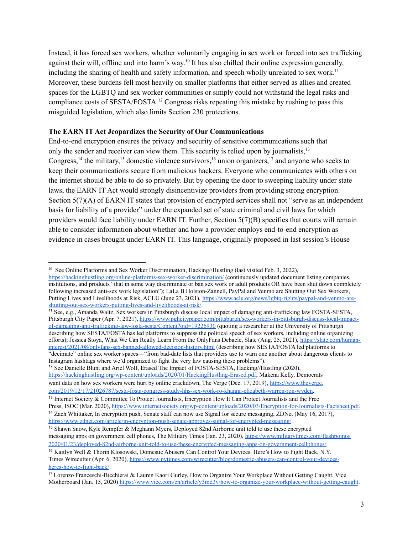Instead, it has forced sex workers, whether voluntarily engaging in sex work or forced into sex trafficking against their will, offline and into harm's way.<sup>10</sup> It has also chilled their online expression generally, including the sharing of health and safety information, and speech wholly unrelated to sex work.<sup>11</sup> Moreover, these burdens fell most heavily on smaller platforms that either served as allies and created spaces for the LGBTQ and sex worker communities or simply could not withstand the legal risks and compliance costs of SESTA/FOSTA. <sup>12</sup> Congress risks repeating this mistake by rushing to pass this misguided legislation, which also limits Section 230 protections.

### **The EARN IT Act Jeopardizes the Security of Our Communications**

End-to-end encryption ensures the privacy and security of sensitive communications such that only the sender and receiver can view them. This security is relied upon by journalists,<sup>13</sup> Congress,<sup>14</sup> the military,<sup>15</sup> domestic violence survivors,<sup>16</sup> union organizers,<sup>17</sup> and anyone who seeks to keep their communications secure from malicious hackers. Everyone who communicates with others on the internet should be able to do so privately. But by opening the door to sweeping liability under state laws, the EARN IT Act would strongly disincentivize providers from providing strong encryption. Section 5(7)(A) of EARN IT states that provision of encrypted services shall not "serve as an independent basis for liability of a provider" under the expanded set of state criminal and civil laws for which providers would face liability under EARN IT. Further, Section 5(7)(B) specifies that courts will remain able to consider information about whether and how a provider employs end-to-end encryption as evidence in cases brought under EARN IT. This language, originally proposed in last session's House

<sup>12</sup> See Danielle Blunt and Ariel Wolf, Erased The Impact of FOSTA-SESTA, Hacking//Hustling (2020), [https://hackinghustling.org/wp-content/uploads/2020/01/HackingHustling-Erased.pdf;](https://hackinghustling.org/wp-content/uploads/2020/01/HackingHustling-Erased.pdf) Makena Kelly, Democrats want data on how sex workers were hurt by online crackdown, The Verge (Dec. 17, 2019), [https://www.theverge.](https://www.theverge.com/2019/12/17/21026787/sesta-fosta-congress-study-hhs-sex-work-ro-khanna-elizabeth-warren-ron-wyden)

<sup>&</sup>lt;sup>10</sup> See Online Platforms and Sex Worker Discrimination, Hacking//Hustling (last visited Feb. 3, 2022), <https://hackinghustling.org/online-platforms-sex-worker-discrimination/> (continuously updated document listing companies, institutions, and products "that in some way discriminate or ban sex work or adult products OR have been shut down completely following increased anti-sex work legislation"); LaLa B Holston-Zannell, PayPal and Venmo are Shutting Out Sex Workers, Putting Lives and Livelihoods at Risk, ACLU (June 23, 2021), [https://www.aclu.org/news/lgbtq-rights/paypal-and-venmo-are](https://www.aclu.org/news/lgbtq-rights/paypal-and-venmo-are-shutting-out-sex-workers-putting-lives-and-livelihoods-at-risk/)[shutting-out-sex-workers-putting-lives-and-livelihoods-at-risk/](https://www.aclu.org/news/lgbtq-rights/paypal-and-venmo-are-shutting-out-sex-workers-putting-lives-and-livelihoods-at-risk/).

<sup>11</sup> See, e.g., Amanda Waltz, Sex workers in Pittsburgh discuss local impact of damaging anti-trafficking law FOSTA-SESTA, Pittsburgh City Paper (Apr. 7, 2021), [https://www.pghcitypaper.com/pittsburgh/sex-workers-in-pittsburgh-discuss-local-impact](https://www.pghcitypaper.com/pittsburgh/sex-workers-in-pittsburgh-discuss-local-impact-of-damaging-anti-trafficking-law-fosta-sesta/Content?oid=19226930)[of-damaging-anti-trafficking-law-fosta-sesta/Content?oid=19226930](https://www.pghcitypaper.com/pittsburgh/sex-workers-in-pittsburgh-discuss-local-impact-of-damaging-anti-trafficking-law-fosta-sesta/Content?oid=19226930) (quoting a researcher at the University of Pittsburgh describing how SESTA/FOSTA has led platforms to suppress the political speech of sex workers, including online organizing efforts); Jessica Stoya, What We Can Really Learn From the OnlyFans Debacle, Slate (Aug. 25, 2021), [https://slate.com/human](https://slate.com/human-interest/2021/08/onlyfans-sex-banned-allowed-decision-history.html)[interest/2021/08/onlyfans-sex-banned-allowed-decision-history.html](https://slate.com/human-interest/2021/08/onlyfans-sex-banned-allowed-decision-history.html) (describing how SESTA/FOSTA led platforms to "decimate" online sex worker spaces—"from bad-date lists that providers use to warn one another about dangerous clients to Instagram hashtags where we'd organized to fight the very law causing these problems").

[com/2019/12/17/21026787/sesta-fosta-congress-study-hhs-sex-work-ro-khanna-elizabeth-warren-ron-wyden.](https://www.theverge.com/2019/12/17/21026787/sesta-fosta-congress-study-hhs-sex-work-ro-khanna-elizabeth-warren-ron-wyden)

<sup>&</sup>lt;sup>13</sup> Internet Society & Committee To Protect Journalists, Encryption How It Can Protect Journalists and the Free Press, ISOC (Mar. 2020), <https://www.internetsociety.org/wp-content/uploads/2020/03/Encryption-for-Journalists-Factsheet.pdf>.

<sup>&</sup>lt;sup>14</sup> Zach Whittaker, In encryption push, Senate staff can now use Signal for secure messaging, ZDNet (May 16, 2017), <https://www.zdnet.com/article/in-encryption-push-senate-approves-signal-for-encrypted-messaging/>.

<sup>15</sup> Shawn Snow, Kyle Rempfer & Meghann Myers, Deployed 82nd Airborne unit told to use these encrypted messaging apps on government cell phones, The Military Times (Jan. 23, 2020), [https://www.militarytimes.com/flashpoints/](https://www.militarytimes.com/flashpoints/2020/01/23/deployed-82nd-airborne-unit-told-to-use-these-encrypted-messaging-apps-on-government-cellphones/) [2020/01/23/deployed-82nd-airborne-unit-told-to-use-these-encrypted-messaging-apps-on-government-cellphones/.](https://www.militarytimes.com/flashpoints/2020/01/23/deployed-82nd-airborne-unit-told-to-use-these-encrypted-messaging-apps-on-government-cellphones/)

<sup>16</sup> Kaitlyn Well & Thorin Klosowski, Domestic Abusers Can Control Your Devices. Here's How to Fight Back, N.Y. Times Wirecutter (Apr. 6, 2020), [https://www.nytimes.com/wirecutter/blog/domestic-abusers-can-control-your-devices](https://www.nytimes.com/wirecutter/blog/domestic-abusers-can-control-your-devices-heres-how-to-fight-back/)[heres-how-to-fight-back/.](https://www.nytimes.com/wirecutter/blog/domestic-abusers-can-control-your-devices-heres-how-to-fight-back/)

<sup>&</sup>lt;sup>17</sup> Lorenzo Franceschi-Bicchierai & Lauren Kaori Gurley, How to Organize Your Workplace Without Getting Caught, Vice Motherboard (Jan. 15, 2020) <https://www.vice.com/en/article/y3md3v/how-to-organize-your-workplace-without-getting-caught>.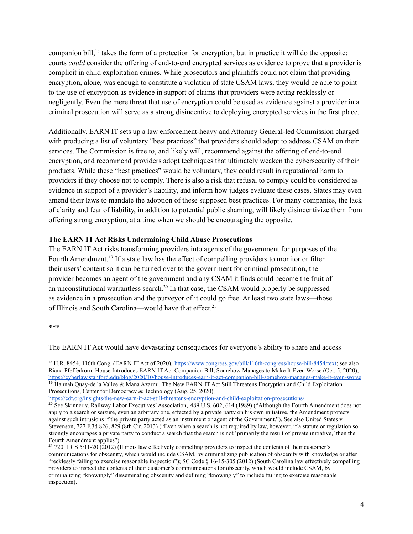companion bill,<sup>18</sup> takes the form of a protection for encryption, but in practice it will do the opposite: courts *could* consider the offering of end-to-end encrypted services as evidence to prove that a provider is complicit in child exploitation crimes. While prosecutors and plaintiffs could not claim that providing encryption, alone, was enough to constitute a violation of state CSAM laws, they would be able to point to the use of encryption as evidence in support of claims that providers were acting recklessly or negligently. Even the mere threat that use of encryption could be used as evidence against a provider in a criminal prosecution will serve as a strong disincentive to deploying encrypted services in the first place.

Additionally, EARN IT sets up a law enforcement-heavy and Attorney General-led Commission charged with producing a list of voluntary "best practices" that providers should adopt to address CSAM on their services. The Commission is free to, and likely will, recommend against the offering of end-to-end encryption, and recommend providers adopt techniques that ultimately weaken the cybersecurity of their products. While these "best practices" would be voluntary, they could result in reputational harm to providers if they choose not to comply. There is also a risk that refusal to comply could be considered as evidence in support of a provider's liability, and inform how judges evaluate these cases. States may even amend their laws to mandate the adoption of these supposed best practices. For many companies, the lack of clarity and fear of liability, in addition to potential public shaming, will likely disincentivize them from offering strong encryption, at a time when we should be encouraging the opposite.

## **The EARN IT Act Risks Undermining Child Abuse Prosecutions**

The EARN IT Act risks transforming providers into agents of the government for purposes of the Fourth Amendment.<sup>19</sup> If a state law has the effect of compelling providers to monitor or filter their users' content so it can be turned over to the government for criminal prosecution, the provider becomes an agent of the government and any CSAM it finds could become the fruit of an unconstitutional warrantless search.<sup>20</sup> In that case, the CSAM would properly be suppressed as evidence in a prosecution and the purveyor of it could go free. At least two state laws—those of Illinois and South Carolina—would have that effect.<sup>21</sup>

#### \*\*\*

The EARN IT Act would have devastating consequences for everyone's ability to share and access

<sup>19</sup> Hannah Quay-de la Vallee & Mana Azarmi, The New EARN IT Act Still Threatens Encryption and Child Exploitation Prosecutions, Center for Democracy & Technology (Aug. 25, 2020), <sup>18</sup> H.R. 8454, 116th Cong. (EARN IT Act of 2020), [https://www.congress.gov/bill/116th-congress/house-bill/8454/text;](https://www.congress.gov/bill/116th-congress/house-bill/8454/text) see also Riana Pfefferkorn, House Introduces EARN IT Act Companion Bill, Somehow Manages to Make It Even Worse (Oct. 5, 2020), <https://cyberlaw.stanford.edu/blog/2020/10/house-introduces-earn-it-act-companion-bill-somehow-manages-make-it-even-worse>

<sup>20</sup> See Skinner v. Railway Labor Executives' Association, 489 U.S. 602, 614 (1989) ("Although the Fourth Amendment does not apply to a search or seizure, even an arbitrary one, effected by a private party on his own initiative, the Amendment protects against such intrusions if the private party acted as an instrument or agent of the Government."). See also United States v. Stevenson, 727 F.3d 826, 829 (8th Cir. 2013) ("Even when a search is not required by law, however, if a statute or regulation so strongly encourages a private party to conduct a search that the search is not 'primarily the result of private initiative,' then the Fourth Amendment applies").

 $21$  720 ILCS 5/11-20 (2012) (Illinois law effectively compelling providers to inspect the contents of their customer's communications for obscenity, which would include CSAM, by criminalizing publication of obscenity with knowledge or after "recklessly failing to exercise reasonable inspection"); SC Code § 16-15-305 (2012) (South Carolina law effectively compelling providers to inspect the contents of their customer's communications for obscenity, which would include CSAM, by criminalizing "knowingly" disseminating obscenity and defining "knowingly" to include failing to exercise reasonable inspection).

<https://cdt.org/insights/the-new-earn-it-act-still-threatens-encryption-and-child-exploitation-prosecutions/>.